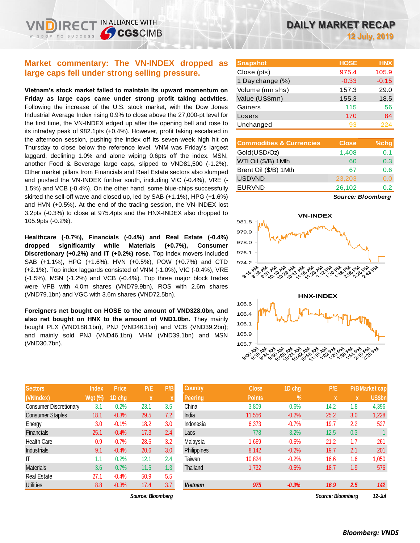## **Market commentary: The VN-INDEX dropped as large caps fell under strong selling pressure.**

**Vietnam's stock market failed to maintain its upward momentum on Friday as large caps came under strong profit taking activities.**  Following the increase of the U.S. stock market, with the Dow Jones Industrial Average Index rising 0.9% to close above the 27,000-pt level for the first time, the VN-INDEX edged up after the opening bell and rose to its intraday peak of 982.1pts (+0.4%). However, profit taking escalated in the afternoon session, pushing the index off its seven-week high hit on Thursday to close below the reference level. VNM was Friday's largest laggard, declining 1.0% and alone wiping 0.6pts off the index. MSN, another Food & Beverage large caps, slipped to VND81,500 (-1.2%). Other market pillars from Financials and Real Estate sectors also slumped and pushed the VN-INDEX further south, including VIC (-0.4%), VRE (- 1.5%) and VCB (-0.4%). On the other hand, some blue-chips successfully skirted the sell-off wave and closed up, led by SAB (+1.1%), HPG (+1.6%) and HVN (+0.5%). At the end of the trading session, the VN-INDEX lost 3.2pts (-0.3%) to close at 975.4pts and the HNX-INDEX also dropped to 105.9pts (-0.2%).

**Healthcare (-0.7%), Financials (-0.4%) and Real Estate (-0.4%) dropped significantly while Materials (+0.7%), Consumer Discretionary (+0.2%) and IT (+0.2%) rose.** Top index movers included SAB (+1.1%), HPG (+1.6%), HVN (+0.5%), POW (+0.7%) and CTD (+2.1%). Top index laggards consisted of VNM (-1.0%), VIC (-0.4%), VRE (-1.5%), MSN (-1.2%) and VCB (-0.4%). Top three major block trades were VPB with 4.0m shares (VND79.9bn), ROS with 2.6m shares (VND79.1bn) and VGC with 3.6m shares (VND72.5bn).

**Foreigners net bought on HOSE to the amount of VND328.0bn, and also net bought on HNX to the amount of VND1.0bn.** They mainly bought PLX (VND188.1bn), PNJ (VND46.1bn) and VCB (VND39.2bn); and mainly sold PNJ (VND46.1bn), VHM (VND39.1bn) and MSN (VND30.7bn).

| <b>Sectors</b>                | <b>Index</b>   | <b>Price</b> | P/E  | P/B |
|-------------------------------|----------------|--------------|------|-----|
| (VNIndex)                     | <b>Wgt (%)</b> | 1D chg       | X    | X   |
| <b>Consumer Discretionary</b> | 3.1            | 0.2%         | 23.1 | 3.5 |
| <b>Consumer Staples</b>       | 18.1           | $-0.3%$      | 29.5 | 7.2 |
| Energy                        | 3.0            | $-0.1%$      | 18.2 | 3.0 |
| <b>Financials</b>             | 25.1           | $-0.4%$      | 17.3 | 2.4 |
| <b>Health Care</b>            | 0.9            | $-0.7%$      | 28.6 | 3.2 |
| <b>Industrials</b>            | 9.1            | $-0.4%$      | 20.6 | 3.0 |
| ıτ                            | 1.1            | 0.2%         | 12.1 | 2.4 |
| <b>Materials</b>              | 3.6            | 0.7%         | 11.5 | 1.3 |
| <b>Real Estate</b>            | 27.1           | $-0.4%$      | 50.9 | 5.5 |
| <b>Utilities</b>              | 8.8            | $-0.3%$      | 17.4 | 3.7 |

*Source: Bloomberg Source: Bloomberg 12-Jul*

| <b>Snapshot</b>  | <b>HOSE</b> | <b>HNX</b> |
|------------------|-------------|------------|
| Close (pts)      | 975.4       | 105.9      |
| 1 Day change (%) | $-0.33$     | $-0.15$    |
| Volume (mn shs)  | 157.3       | 29.0       |
| Value (US\$mn)   | 155.3       | 18.5       |
| Gainers          | 115         | 56         |
| Losers           | 170         | 84         |
| Unchanged        | 93          | 224        |

| <b>Commodities &amp; Currencies</b> | <b>Close</b> | $%$ chg |
|-------------------------------------|--------------|---------|
| Gold(USD/Oz)                        | 1,408        | 0.1     |
| WTI Oil (\$/B) 1Mth                 | 60           | 0.3     |
| Brent Oil (\$/B) 1Mth               | 67           | 0.6     |
| <b>USDVND</b>                       | 23,203       | 0.0     |
| <b>EURVND</b>                       | 26,102       | 0.2     |

*Source: Bloomberg*



| <b>Sectors</b>          | Index     | <b>Price</b> | P/E               | P/B              | <b>Country</b> | <b>Close</b>  | 1D chg  | P/E               |          | <b>P/B Market cap</b> |
|-------------------------|-----------|--------------|-------------------|------------------|----------------|---------------|---------|-------------------|----------|-----------------------|
| (VNIndex)               | $Wgt$ (%) | 1D chg       | $\mathbf x$       |                  | <b>Peering</b> | <b>Points</b> | $\%$    | X                 | <b>X</b> | US\$bn                |
| Consumer Discretionary  | 3.1       | 0.2%         | 23.1              | 3.5              | China          | 3,809         | 0.6%    | 14.2              | 1.8      | 4,396                 |
| <b>Consumer Staples</b> | 18.1      | $-0.3%$      | 29.5              | 7.2              | India          | 11,556        | $-0.2%$ | 25.2              | 3.0      | 1,228                 |
| Energy                  | 3.0       | $-0.1%$      | 18.2              | 3.0              | Indonesia      | 6,373         | $-0.7%$ | 19.7              | 2.2      | 527                   |
| Financials              | 25.1      | $-0.4%$      | 17.3              | 2.4              | Laos           | 778           | 3.2%    | 12.5              | 0.3      |                       |
| Health Care             | 0.9       | $-0.7%$      | 28.6              | 3.2              | Malaysia       | 1,669         | $-0.6%$ | 21.2              | 1.7      | 261                   |
| Industrials             | 9.1       | $-0.4%$      | 20.6              | 3.0 <sub>2</sub> | Philippines    | 8,142         | $-0.2%$ | 19.7              | 2.1      | 201                   |
| Т                       | 1.1       | 0.2%         | 12.1              | 2.4              | Taiwan         | 10,824        | $-0.2%$ | 16.6              | 1.6      | 1,050                 |
| Materials               | 3.6       | 0.7%         | 11.5              | 1.3              | Thailand       | 1,732         | $-0.5%$ | 18.7              | 1.9      | 576                   |
| Real Estate             | 27.1      | $-0.4%$      | 50.9              | 5.5              |                |               |         |                   |          |                       |
| Utilities               | 8.8       | $-0.3%$      | 17.4              | 3.7              | <b>Vietnam</b> | 975           | $-0.3%$ | 16.9              | 2.5      | 142                   |
|                         |           |              | Source: Bloomberg |                  |                |               |         | Source: Bloomberg |          | $12 - h$              |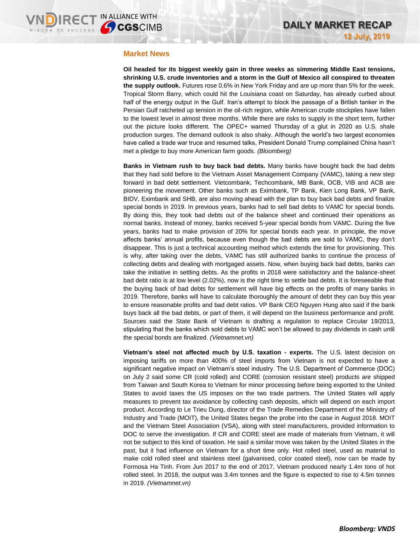### **Market News**

**Oil headed for its biggest weekly gain in three weeks as simmering Middle East tensions, shrinking U.S. crude inventories and a storm in the Gulf of Mexico all conspired to threaten the supply outlook.** Futures rose 0.6% in New York Friday and are up more than 5% for the week. Tropical Storm Barry, which could hit the Louisiana coast on Saturday, has already curbed about half of the energy output in the Gulf. Iran's attempt to block the passage of a British tanker in the Persian Gulf ratcheted up tension in the oil-rich region, while American crude stockpiles have fallen to the lowest level in almost three months. While there are risks to supply in the short term, further out the picture looks different. The OPEC+ warned Thursday of a glut in 2020 as U.S. shale production surges. The demand outlook is also shaky. Although the world's two largest economies have called a trade war truce and resumed talks, President Donald Trump complained China hasn't met a pledge to buy more American farm goods. *(Bloomberg)*

**Banks in Vietnam rush to buy back bad debts.** Many banks have bought back the bad debts that they had sold before to the Vietnam Asset Management Company (VAMC), taking a new step forward in bad debt settlement. Vietcombank, Techcombank, MB Bank, OCB, VIB and ACB are pioneering the movement. Other banks such as Eximbank, TP Bank, Kien Long Bank, VP Bank, BIDV, Eximbank and SHB, are also moving ahead with the plan to buy back bad debts and finalize special bonds in 2019. In previous years, banks had to sell bad debts to VAMC for special bonds. By doing this, they took bad debts out of the balance sheet and continued their operations as normal banks. Instead of money, banks received 5-year special bonds from VAMC. During the five years, banks had to make provision of 20% for special bonds each year. In principle, the move affects banks' annual profits, because even though the bad debts are sold to VAMC, they don't disappear. This is just a technical accounting method which extends the time for provisioning. This is why, after taking over the debts, VAMC has still authorized banks to continue the process of collecting debts and dealing with mortgaged assets. Now, when buying back bad debts, banks can take the initiative in settling debts. As the profits in 2018 were satisfactory and the balance-sheet bad debt ratio is at low level (2.02%), now is the right time to settle bad debts. It is foreseeable that the buying back of bad debts for settlement will have big effects on the profits of many banks in 2019. Therefore, banks will have to calculate thoroughly the amount of debt they can buy this year to ensure reasonable profits and bad debt ratios. VP Bank CEO Nguyen Hung also said if the bank buys back all the bad debts, or part of them, it will depend on the business performance and profit. Sources said the State Bank of Vietnam is drafting a regulation to replace Circular 19/2013, stipulating that the banks which sold debts to VAMC won't be allowed to pay dividends in cash until the special bonds are finalized. *(Vietnamnet.vn)*

**Vietnam's steel not affected much by U.S. taxation - experts.** The U.S. latest decision on imposing tariffs on more than 400% of steel imports from Vietnam is not expected to have a significant negative impact on Vietnam's steel industry. The U.S. Department of Commerce (DOC) on July 2 said some CR (cold rolled) and CORE (corrosion resistant steel) products are shipped from Taiwan and South Korea to Vietnam for minor processing before being exported to the United States to avoid taxes the US imposes on the two trade partners. The United States will apply measures to prevent tax avoidance by collecting cash deposits, which will depend on each import product. According to Le Trieu Dung, director of the Trade Remedies Department of the Ministry of Industry and Trade (MOIT), the United States began the probe into the case in August 2018. MOIT and the Vietnam Steel Association (VSA), along with steel manufacturers, provided information to DOC to serve the investigation. If CR and CORE steel are made of materials from Vietnam, it will not be subject to this kind of taxation. He said a similar move was taken by the United States in the past, but it had influence on Vietnam for a short time only. Hot rolled steel, used as material to make cold rolled steel and stainless steel (galvanised, color coated steel), now can be made by Formosa Ha Tinh. From Jun 2017 to the end of 2017, Vietnam produced nearly 1.4m tons of hot rolled steel. In 2018, the output was 3.4m tonnes and the figure is expected to rise to 4.5m tonnes in 2019. *(Vietnamnet.vn)*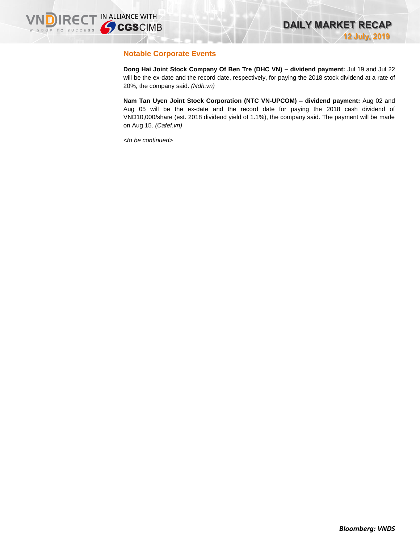## **Notable Corporate Events**

**Dong Hai Joint Stock Company Of Ben Tre (DHC VN) – dividend payment:** Jul 19 and Jul 22 will be the ex-date and the record date, respectively, for paying the 2018 stock dividend at a rate of 20%, the company said. *(Ndh.vn)*

**Nam Tan Uyen Joint Stock Corporation (NTC VN-UPCOM) – dividend payment:** Aug 02 and Aug 05 will be the ex-date and the record date for paying the 2018 cash dividend of VND10,000/share (est. 2018 dividend yield of 1.1%), the company said. The payment will be made on Aug 15. *(Cafef.vn)*

*<to be continued>*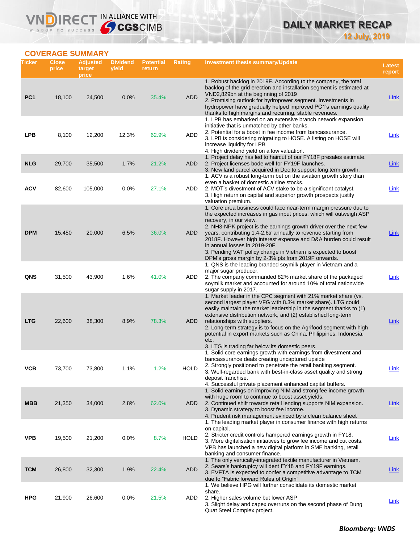## **DAILY MARKET RECAP 12 July, 2019**

## **COVERAGE SUMMARY**

WISDOM TO SUCCESS

VND

IRECT IN ALLIANCE WITH

| Ticker          | <b>Close</b><br>price | <b>Adjusted</b><br>target<br>price | <b>Dividend</b><br>yield | <b>Potential</b><br>return | Rating      | Investment thesis summary/Update                                                                                                                                                                                                                                                                                                                                                                                                                                                                                                                             | Latest<br>report |
|-----------------|-----------------------|------------------------------------|--------------------------|----------------------------|-------------|--------------------------------------------------------------------------------------------------------------------------------------------------------------------------------------------------------------------------------------------------------------------------------------------------------------------------------------------------------------------------------------------------------------------------------------------------------------------------------------------------------------------------------------------------------------|------------------|
| PC <sub>1</sub> | 18,100                | 24,500                             | 0.0%                     | 35.4%                      | <b>ADD</b>  | 1. Robust backlog in 2019F. According to the company, the total<br>backlog of the grid erection and installation segment is estimated at<br>VND2,829bn at the beginning of 2019<br>2. Promising outlook for hydropower segment. Investments in<br>hydropower have gradually helped improved PC1's earnings quality                                                                                                                                                                                                                                           | <b>Link</b>      |
| <b>LPB</b>      | 8,100                 | 12,200                             | 12.3%                    | 62.9%                      | ADD         | thanks to high margins and recurring, stable revenues.<br>1. LPB has embarked on an extensive branch network expansion<br>initiative that is unmatched by other banks.<br>2. Potential for a boost in fee income from bancassurance.<br>3. LPB is considering migrating to HOSE. A listing on HOSE will<br>increase liquidity for LPB                                                                                                                                                                                                                        | Link             |
| <b>NLG</b>      | 29,700                | 35,500                             | 1.7%                     | 21.2%                      | ADD         | 4. High dividend yield on a low valuation.<br>1. Project delay has led to haircut of our FY18F presales estimate.<br>2. Project licenses bode well for FY19F launches.<br>3. New land parcel acquired in Dec to support long term growth.                                                                                                                                                                                                                                                                                                                    | <u>Link</u>      |
| <b>ACV</b>      | 82,600                | 105,000                            | 0.0%                     | 27.1%                      | ADD         | 1. ACV is a robust long-term bet on the aviation growth story than<br>even a basket of domestic airline stocks.<br>2. MOT's divestment of ACV stake to be a significant catalyst.<br>3. High return on capital and superior growth prospects justify                                                                                                                                                                                                                                                                                                         | <b>Link</b>      |
| <b>DPM</b>      | 15,450                | 20,000                             | 6.5%                     | 36.0%                      | ADD         | valuation premium.<br>1. Core urea business could face near-term margin pressure due to<br>the expected increases in gas input prices, which will outweigh ASP<br>recovery, in our view.<br>2. NH3-NPK project is the earnings growth driver over the next few<br>years, contributing 1.4-2.6tr annually to revenue starting from<br>2018F. However high interest expense and D&A burden could result<br>in annual losses in 2019-20F.<br>3. Pending VAT policy change in Vietnam is expected to boost<br>DPM's gross margin by 2-3% pts from 2019F onwards. | <b>Link</b>      |
| QNS             | 31,500                | 43,900                             | 1.6%                     | 41.0%                      | ADD         | 1. QNS is the leading branded soymilk player in Vietnam and a<br>major sugar producer.<br>2. The company commanded 82% market share of the packaged<br>soymilk market and accounted for around 10% of total nationwide<br>sugar supply in 2017.                                                                                                                                                                                                                                                                                                              | Link             |
| <b>LTG</b>      | 22,600                | 38,300                             | 8.9%                     | 78.3%                      | ADD         | 1. Market leader in the CPC segment with 21% market share (vs.<br>second largest player VFG with 8.3% market share). LTG could<br>easily maintain the market leadership in the segment thanks to (1)<br>extensive distribution network, and (2) established long-term<br>relationships with suppliers.<br>2. Long-term strategy is to focus on the Agrifood segment with high<br>potential in export markets such as China, Philippines, Indonesia,<br>etc.<br>3. LTG is trading far below its domestic peers.                                               | Link             |
| ۷СВ             | 73,700                | 73,800                             | 1.1%                     | 1.2%                       | <b>HOLD</b> | 1. Solid core earnings growth with earnings from divestment and<br>bancassurance deals creating uncaptured upside<br>2. Strongly positioned to penetrate the retail banking segment.<br>3. Well-regarded bank with best-in-class asset quality and strong<br>deposit franchise.<br>4. Successful private placement enhanced capital buffers.                                                                                                                                                                                                                 | <b>Link</b>      |
| <b>MBB</b>      | 21,350                | 34,000                             | 2.8%                     | 62.0%                      | ADD         | 1. Solid earnings on improving NIM and strong fee income growth<br>with huge room to continue to boost asset yields.<br>2. Continued shift towards retail lending supports NIM expansion.<br>3. Dynamic strategy to boost fee income.<br>4. Prudent risk management evinced by a clean balance sheet                                                                                                                                                                                                                                                         | <b>Link</b>      |
| <b>VPB</b>      | 19,500                | 21,200                             | 0.0%                     | 8.7%                       | <b>HOLD</b> | 1. The leading market player in consumer finance with high returns<br>on capital.<br>2. Stricter credit controls hampered earnings growth in FY18.<br>3. More digitalisation initiatives to grow fee income and cut costs.<br>VPB has launched a new digital platform in SME banking, retail<br>banking and consumer finance.                                                                                                                                                                                                                                | <u>Link</u>      |
| <b>TCM</b>      | 26,800                | 32,300                             | 1.9%                     | 22.4%                      | <b>ADD</b>  | 1. The only vertically-integrated textile manufacturer in Vietnam.<br>2. Sears's bankruptcy will dent FY18 and FY19F earnings.<br>3. EVFTA is expected to confer a competitive advantage to TCM<br>due to "Fabric forward Rules of Origin"                                                                                                                                                                                                                                                                                                                   | <b>Link</b>      |
| <b>HPG</b>      | 21,900                | 26,600                             | 0.0%                     | 21.5%                      | ADD         | 1. We believe HPG will further consolidate its domestic market<br>share.<br>2. Higher sales volume but lower ASP<br>3. Slight delay and capex overruns on the second phase of Dung<br>Quat Steel Complex project.                                                                                                                                                                                                                                                                                                                                            | <b>Link</b>      |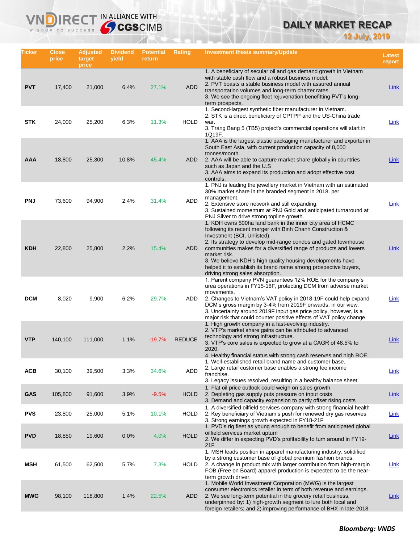# **DAILY MARKET RECAP**

**12 July, 2019**

| Ticker     | Close<br>price | <b>Adjusted</b><br>target<br>price | <b>Dividend</b><br>yield | <b>Potential</b><br>return | Rating        | Investment thesis summary/Update                                                                                                                                                                                                                                                                                                                                                                                                                                                    | <b>Latest</b><br>report |
|------------|----------------|------------------------------------|--------------------------|----------------------------|---------------|-------------------------------------------------------------------------------------------------------------------------------------------------------------------------------------------------------------------------------------------------------------------------------------------------------------------------------------------------------------------------------------------------------------------------------------------------------------------------------------|-------------------------|
| <b>PVT</b> | 17,400         | 21,000                             | 6.4%                     | 27.1%                      | <b>ADD</b>    | 1. A beneficiary of secular oil and gas demand growth in Vietnam<br>with stable cash flow and a robust business model.<br>2. PVT boasts a stable business model with assured annual<br>transportation volumes and long-term charter rates.<br>3. We see the ongoing fleet rejuvenation benefitting PVT's long-<br>term prospects.                                                                                                                                                   | <b>Link</b>             |
| <b>STK</b> | 24,000         | 25,200                             | 6.3%                     | 11.3%                      | <b>HOLD</b>   | 1. Second-largest synthetic fiber manufacturer in Vietnam.<br>2. STK is a direct beneficiary of CPTPP and the US-China trade<br>war.<br>3. Trang Bang 5 (TB5) project's commercial operations will start in<br>1Q19F.                                                                                                                                                                                                                                                               | Link                    |
| AAA        | 18,800         | 25,300                             | 10.8%                    | 45.4%                      | <b>ADD</b>    | 1. AAA is the largest plastic packaging manufacturer and exporter in<br>South East Asia, with current production capacity of 8,000<br>tonnes/month.<br>2. AAA will be able to capture market share globally in countries<br>such as Japan and the U.S.<br>3. AAA aims to expand its production and adopt effective cost<br>controls.                                                                                                                                                | Link                    |
| <b>PNJ</b> | 73,600         | 94,900                             | 2.4%                     | 31.4%                      | ADD           | 1. PNJ is leading the jewellery market in Vietnam with an estimated<br>30% market share in the branded segment in 2018, per<br>management.<br>2. Extensive store network and still expanding.<br>3. Sustained momentum at PNJ Gold and anticipated turnaround at<br>PNJ Silver to drive strong topline growth.                                                                                                                                                                      | <b>Link</b>             |
| <b>KDH</b> | 22,800         | 25,800                             | 2.2%                     | 15.4%                      | <b>ADD</b>    | 1. KDH owns 500ha land bank in the inner city area of HCMC<br>following its recent merger with Binh Chanh Construction &<br>Investment (BCI, Unlisted).<br>2. Its strategy to develop mid-range condos and gated townhouse<br>communities makes for a diversified range of products and lowers<br>market risk.<br>3. We believe KDH's high quality housing developments have<br>helped it to establish its brand name among prospective buyers,<br>driving strong sales absorption. | Link                    |
| <b>DCM</b> | 8,020          | 9,900                              | 6.2%                     | 29.7%                      | ADD           | 1. Parent company PVN guarantees 12% ROE for the company's<br>urea operations in FY15-18F, protecting DCM from adverse market<br>movements.<br>2. Changes to Vietnam's VAT policy in 2018-19F could help expand<br>DCM's gross margin by 3-4% from 2019F onwards, in our view.<br>3. Uncertainty around 2019F input gas price policy, however, is a<br>major risk that could counter positive effects of VAT policy change.                                                         | Link                    |
| <b>VTP</b> | 140,100        | 111,000                            | 1.1%                     | $-19.7%$                   | <b>REDUCE</b> | 1. High growth company in a fast-evolving industry.<br>2. VTP's market share gains can be attributed to advanced<br>technology and strong infrastructure.<br>3. VTP's core sales is expected to grow at a CAGR of 48.5% to<br>2020.<br>4. Healthy financial status with strong cash reserves and high ROE.                                                                                                                                                                          | Link                    |
| <b>ACB</b> | 30,100         | 39,500                             | 3.3%                     | 34.6%                      | ADD           | 1. Well-established retail brand name and customer base.<br>2. Large retail customer base enables a strong fee income<br>franchise.<br>3. Legacy issues resolved, resulting in a healthy balance sheet.                                                                                                                                                                                                                                                                             | <b>Link</b>             |
| <b>GAS</b> | 105,800        | 91,600                             | 3.9%                     | $-9.5%$                    | <b>HOLD</b>   | 1. Flat oil price outlook could weigh on sales growth<br>2. Depleting gas supply puts pressure on input costs<br>3. Demand and capacity expansion to partly offset rising costs                                                                                                                                                                                                                                                                                                     | Link                    |
| <b>PVS</b> | 23,800         | 25,000                             | 5.1%                     | 10.1%                      | <b>HOLD</b>   | 1. A diversified oilfield services company with strong financial health<br>2. Key beneficiary of Vietnam's push for renewed dry gas reserves<br>3. Strong earnings growth expected in FY18-21F                                                                                                                                                                                                                                                                                      | Link                    |
| <b>PVD</b> | 18,850         | 19,600                             | 0.0%                     | 4.0%                       | <b>HOLD</b>   | 1. PVD's rig fleet as young enough to benefit from anticipated global<br>oilfield services market upturn<br>2. We differ in expecting PVD's profitability to turn around in FY19-<br>21F                                                                                                                                                                                                                                                                                            | <b>Link</b>             |
| MSH        | 61,500         | 62,500                             | 5.7%                     | 7.3%                       | <b>HOLD</b>   | 1. MSH leads position in apparel manufacturing industry, solidified<br>by a strong customer base of global premium fashion brands.<br>2. A change in product mix with larger contribution from high-margin<br>FOB (Free on Board) apparel production is expected to be the near-<br>term growth driver.                                                                                                                                                                             | <b>Link</b>             |
| <b>MWG</b> | 98,100         | 118,800                            | 1.4%                     | 22.5%                      | ADD           | 1. Mobile World Investment Corporation (MWG) is the largest<br>consumer electronics retailer in term of both revenue and earnings.<br>2. We see long-term potential in the grocery retail business,<br>underpinned by: 1) high-growth segment to lure both local and<br>foreign retailers; and 2) improving performance of BHX in late-2018.                                                                                                                                        | <u>Link</u>             |

**VNDIRECT IN ALLIANCE WITH**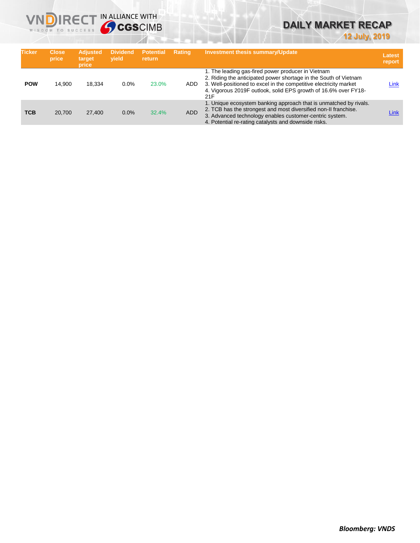

# **DAILY MARKET RECAP**

**12 July, 2019**

| <b>Ticker</b> | <b>Close</b><br>price | <b>Adjusted</b><br>target<br>price | <b>Dividend</b><br>vield | <b>Potential</b> '<br>return | <b>Rating</b> | <b>Investment thesis summary/Update</b>                                                                                                                                                                                                                               | Latest<br>report |
|---------------|-----------------------|------------------------------------|--------------------------|------------------------------|---------------|-----------------------------------------------------------------------------------------------------------------------------------------------------------------------------------------------------------------------------------------------------------------------|------------------|
| <b>POW</b>    | 14.900                | 18.334                             | 0.0%                     | 23.0%                        | ADD.          | 1. The leading gas-fired power producer in Vietnam<br>2. Riding the anticipated power shortage in the South of Vietnam<br>3. Well-positioned to excel in the competitive electricity market<br>4. Vigorous 2019F outlook, solid EPS growth of 16.6% over FY18-<br>21F | Link             |
| <b>TCB</b>    | 20,700                | 27,400                             | 0.0%                     | 32.4%                        | <b>ADD</b>    | 1. Unique ecosystem banking approach that is unmatched by rivals.<br>2. TCB has the strongest and most diversified non-II franchise.<br>3. Advanced technology enables customer-centric system.<br>4. Potential re-rating catalysts and downside risks.               | Link             |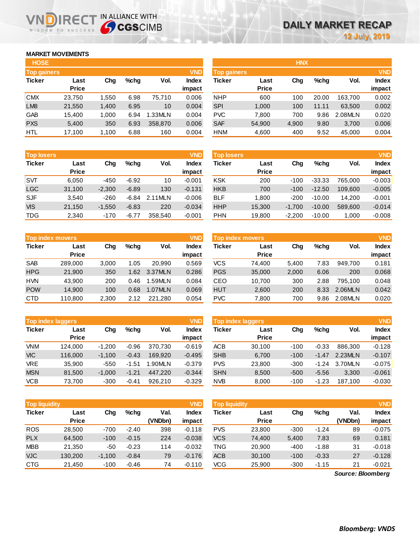## **MARKET MOVEMENTS**

WISDOM TO SUCCESS

| <b>HOSE</b>        |              |       |         |         |            | <b>HNX</b>         |              |       |         |         |            |
|--------------------|--------------|-------|---------|---------|------------|--------------------|--------------|-------|---------|---------|------------|
| <b>Top gainers</b> |              |       |         |         | <b>VND</b> | <b>Top gainers</b> |              |       |         |         | <b>VND</b> |
| <b>Ticker</b>      | Last         | Chg   | $%$ chq | Vol.    | Index      | Ticker             | Last         | Chg   | $%$ chq | Vol.    | Index      |
|                    | <b>Price</b> |       |         |         | impact     |                    | <b>Price</b> |       |         |         | impact     |
| <b>CMX</b>         | 23,750       | 1.550 | 6.98    | 75.710  | 0.006      | <b>NHP</b>         | 600          | 100   | 20.00   | 163.700 | 0.002      |
| LM <sub>8</sub>    | 21,550       | 1,400 | 6.95    | 10      | 0.004      | <b>SPI</b>         | 1,000        | 100   | 11.11   | 63,500  | 0.002      |
| <b>GAB</b>         | 15.400       | 1.000 | 6.94    | 1.33MLN | 0.004      | <b>PVC</b>         | 7.800        | 700   | 9.86    | 2.08MLN | 0.020      |
| <b>PXS</b>         | 5,400        | 350   | 6.93    | 358,870 | 0.006      | <b>SAF</b>         | 54,900       | 4,900 | 9.80    | 3,700   | 0.006      |
| <b>HTL</b>         | 17,100       | 1,100 | 6.88    | 160     | 0.004      | <b>HNM</b>         | 4,600        | 400   | 9.52    | 45,000  | 0.004      |

**NDIRECT IN ALLIANCE WITH** 

| <b>Top losers</b> |              |          |         |         | <b>VND</b>   |
|-------------------|--------------|----------|---------|---------|--------------|
| <b>Ticker</b>     | Last         | Cha      | %chq    | Vol.    | <b>Index</b> |
|                   | <b>Price</b> |          |         |         | impact       |
| <b>SVT</b>        | 6,050        | $-450$   | $-6.92$ | 10      | $-0.001$     |
| <b>LGC</b>        | 31,100       | $-2,300$ | $-6.89$ | 130     | $-0.131$     |
| <b>SJF</b>        | 3,540        | $-260$   | $-6.84$ | 2.11MLN | $-0.006$     |
| <b>VIS</b>        | 21,150       | $-1,550$ | $-6.83$ | 220     | $-0.034$     |
| <b>TDG</b>        | 2,340        | $-170$   | $-6.77$ | 358,540 | $-0.001$     |

|               | <b>VND</b><br><b>Top index movers</b> |       |      |         |              |  |  |  |  |  |  |
|---------------|---------------------------------------|-------|------|---------|--------------|--|--|--|--|--|--|
| <b>Ticker</b> | Last                                  | Cha   | %chq | Vol.    | <b>Index</b> |  |  |  |  |  |  |
|               | <b>Price</b>                          |       |      |         | impact       |  |  |  |  |  |  |
| <b>SAB</b>    | 289,000                               | 3,000 | 1.05 | 20,990  | 0.569        |  |  |  |  |  |  |
| <b>HPG</b>    | 21,900                                | 350   | 1.62 | 3.37MLN | 0.286        |  |  |  |  |  |  |
| <b>HVN</b>    | 43,900                                | 200   | 0.46 | 1.59MLN | 0.084        |  |  |  |  |  |  |
| <b>POW</b>    | 14.900                                | 100   | 0.68 | 1.07MLN | 0.069        |  |  |  |  |  |  |
| <b>CTD</b>    | 110,800                               | 2,300 | 2.12 | 221.280 | 0.054        |  |  |  |  |  |  |

|               | <b>Top index laggers</b> |          |         |         | <b>VND</b>   |
|---------------|--------------------------|----------|---------|---------|--------------|
| <b>Ticker</b> | Last                     | Cha      | %chq    | Vol.    | <b>Index</b> |
|               | <b>Price</b>             |          |         |         | impact       |
| <b>VNM</b>    | 124,000                  | $-1,200$ | $-0.96$ | 370,730 | $-0.619$     |
| <b>VIC</b>    | 116,000                  | $-1,100$ | $-0.43$ | 169.920 | $-0.495$     |
| VRE           | 35,900                   | $-550$   | $-1.51$ | 1.90MLN | $-0.379$     |
| <b>MSN</b>    | 81,500                   | $-1,000$ | $-1.21$ | 447,220 | $-0.344$     |
| <b>VCB</b>    | 73.700                   | $-300$   | $-0.41$ | 926.210 | $-0.329$     |

**Top liquidity** 

| <b>HOSE</b>        |              |       |           |                 |              | <b>HNX</b>         |              |          |         |            |              |
|--------------------|--------------|-------|-----------|-----------------|--------------|--------------------|--------------|----------|---------|------------|--------------|
| <b>Top gainers</b> |              |       |           |                 | <b>VND</b>   | <b>Top gainers</b> |              |          |         |            | <b>VND</b>   |
| Ticker             | Last         | Chg   | $%$ chq   | Vol.            | <b>Index</b> | Ticker             | Last         | Chg      | $%$ chq | Vol.       | <b>Index</b> |
|                    | <b>Price</b> |       |           |                 | impact       |                    | <b>Price</b> |          |         |            | impact       |
| <b>CMX</b>         | 23.750       | 1.550 | 6.98      | 75.710          | 0.006        | <b>NHP</b>         | 600          | 100      | 20.00   | 163.700    | 0.002        |
| LM <sub>8</sub>    | 21,550       | 1,400 | 6.95      | 10              | 0.004        | <b>SPI</b>         | 1,000        | 100      | 11.11   | 63,500     | 0.002        |
| GAB                | 15.400       | 1.000 | 6.94      | 1.33MLN         | 0.004        | <b>PVC</b>         | 7.800        | 700      | 9.86    | 2.08MLN    | 0.020        |
| <b>PXS</b>         | 5,400        | 350   | 6.93      | 358,870         | 0.006        | <b>SAF</b>         | 54,900       | 4,900    | 9.80    | 3.700      | 0.006        |
| பாட                | 17.100       | 1.100 | $\sim$ 00 | 1C <sub>0</sub> | 0.001        | LINIM              | 1.600        | $\Delta$ | n En    | $AB$ $000$ | 0.001        |

| <b>Top losers</b> |              |          |         |         | <b>VND</b>   | <b>Top losers</b> |              |          |          |         | <b>VND</b>   |
|-------------------|--------------|----------|---------|---------|--------------|-------------------|--------------|----------|----------|---------|--------------|
| <b>Ticker</b>     | Last         | Chg      | $%$ chq | Vol.    | <b>Index</b> | Ticker            | Last         | Chg      | $%$ chq  | Vol.    | <b>Index</b> |
|                   | <b>Price</b> |          |         |         | impact       |                   | <b>Price</b> |          |          |         | impact       |
| SVT               | 6.050        | $-450$   | $-6.92$ | 10      | $-0.001$     | <b>KSK</b>        | 200          | $-100$   | $-33.33$ | 765.000 | $-0.003$     |
| LGC               | 31,100       | $-2,300$ | $-6.89$ | 130     | $-0.131$     | <b>HKB</b>        | 700          | $-100$   | $-12.50$ | 109.600 | $-0.005$     |
| <b>SJF</b>        | 3,540        | $-260$   | $-6.84$ | 2.11MLN | $-0.006$     | <b>BLF</b>        | 1.800        | $-200$   | $-10.00$ | 14.200  | $-0.001$     |
| <b>VIS</b>        | 21,150       | $-1,550$ | $-6.83$ | 220     | $-0.034$     | <b>HHP</b>        | 15,300       | $-1.700$ | $-10.00$ | 589,600 | $-0.014$     |
| TDG               | 2,340        | $-170$   | $-6.77$ | 358,540 | $-0.001$     | <b>PHN</b>        | 19,800       | $-2,200$ | $-10.00$ | 1,000   | $-0.008$     |
|                   |              |          |         |         |              |                   |              |          |          |         |              |

| Top index movers |              |       |      |         | <b>VND</b> | <b>Top index movers</b> |              |       |      |         |              |
|------------------|--------------|-------|------|---------|------------|-------------------------|--------------|-------|------|---------|--------------|
| Ticker           | Last         | Cha   | %chq | Vol.    | Index      | Ticker                  | Last         | Chg   | %chq | Vol.    | <b>Index</b> |
|                  | <b>Price</b> |       |      |         | impact     |                         | <b>Price</b> |       |      |         | impact       |
| <b>SAB</b>       | 289.000      | 3.000 | 1.05 | 20.990  | 0.569      | VCS                     | 74.400       | 5.400 | 7.83 | 949.700 | 0.181        |
| <b>HPG</b>       | 21,900       | 350   | 1.62 | 3.37MLN | 0.286      | <b>PGS</b>              | 35,000       | 2,000 | 6.06 | 200     | 0.068        |
| <b>HVN</b>       | 43.900       | 200   | 0.46 | 1.59MLN | 0.084      | CEO                     | 10.700       | 300   | 2.88 | 795.100 | 0.048        |
| <b>POW</b>       | 14.900       | 100   | 0.68 | 1.07MLN | 0.069      | <b>HUT</b>              | 2,600        | 200   | 8.33 | 2.06MLN | 0.042        |
| CTD              | 110,800      | 2,300 | 2.12 | 221,280 | 0.054      | <b>PVC</b>              | 7.800        | 700   | 9.86 | 2.08MLN | 0.020        |

| <b>Top index laggers</b> |                      |          |         |         | <b>VND</b>   | Top index laggers | <b>VND</b>           |        |         |         |              |
|--------------------------|----------------------|----------|---------|---------|--------------|-------------------|----------------------|--------|---------|---------|--------------|
| Ticker                   | Last<br><b>Price</b> | Chg      | $%$ chq | Vol.    | <b>Index</b> | <b>Ticker</b>     | Last<br><b>Price</b> | Chg    | $%$ chq | Vol.    | <b>Index</b> |
| <b>VNM</b>               |                      |          |         |         | impact       |                   |                      |        |         |         | impact       |
|                          | 124.000              | $-1.200$ | $-0.96$ | 370.730 | $-0.619$     | <b>ACB</b>        | 30.100               | $-100$ | $-0.33$ | 886,300 | $-0.128$     |
| <b>VIC</b>               | 116,000              | $-1.100$ | $-0.43$ | 169.920 | $-0.495$     | <b>SHB</b>        | 6,700                | $-100$ | $-1.47$ | 2.23MLN | $-0.107$     |
| <b>VRE</b>               | 35.900               | $-550$   | $-1.51$ | .90MLN  | $-0.379$     | <b>PVS</b>        | 23,800               | $-300$ | $-1.24$ | 3.70MLN | $-0.075$     |
| <b>MSN</b>               | 81.500               | $-1.000$ | $-1.21$ | 447.220 | $-0.344$     | <b>SHN</b>        | 8.500                | $-500$ | $-5.56$ | 3.300   | $-0.061$     |
| <b>VCB</b>               | 73.700               | $-300$   | $-0.41$ | 926.210 | $-0.329$     | <b>NVB</b>        | 8,000                | $-100$ | $-1.23$ | 187.100 | $-0.030$     |

| <b>Top liquidity</b> |                      |          |         |                 | <b>VND</b>             | <b>Top liquidity</b> |                      |        |         |                   | <b>VND</b>             |
|----------------------|----------------------|----------|---------|-----------------|------------------------|----------------------|----------------------|--------|---------|-------------------|------------------------|
| Ticker               | Last<br><b>Price</b> | Chg      | $%$ chq | Val.<br>(VNDbn) | <b>Index</b><br>impact | <b>Ticker</b>        | Last<br><b>Price</b> | Chg    | $%$ chq | Val.<br>(VNDbn)   | <b>Index</b><br>impact |
| ROS                  | 28,500               | $-700$   | $-2.40$ | 398             | $-0.118$               | <b>PVS</b>           | 23,800               | $-300$ | $-1.24$ | 89                | $-0.075$               |
| <b>PLX</b>           | 64,500               | $-100$   | $-0.15$ | 224             | $-0.038$               | <b>VCS</b>           | 74,400               | 5,400  | 7.83    | 69                | 0.181                  |
| <b>MBB</b>           | 21,350               | -50      | $-0.23$ | 114             | $-0.032$               | TNG                  | 20,900               | $-400$ | $-1.88$ | 31                | $-0.018$               |
| <b>VJC</b>           | 130,200              | $-1,100$ | $-0.84$ | 79              | $-0.176$               | <b>ACB</b>           | 30,100               | $-100$ | $-0.33$ | 27                | $-0.128$               |
| CTG                  | 21,450               | $-100$   | $-0.46$ | 74              | $-0.110$               | VCG                  | 25,900               | $-300$ | $-1.15$ | 21                | $-0.021$               |
|                      |                      |          |         |                 |                        |                      |                      |        |         | Source: Bloomberg |                        |

*Source: Bloomberg*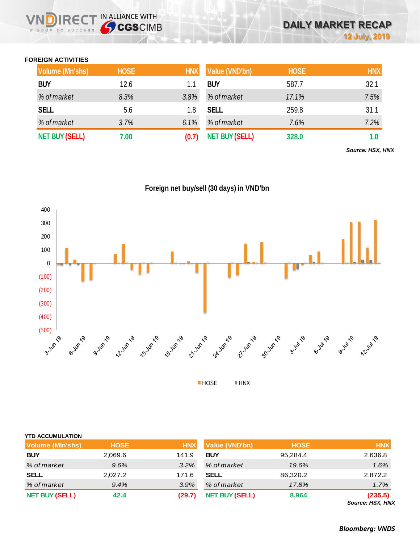### **FOREIGN ACTIVITIES**

WISDOM TO SUCCESS

**IRECT IN ALLIANCE WITH** 

| <b>Volume (Mn'shs)</b> | <b>HOSE</b> | <b>HNX</b> | Value (VND'bn)        | <b>HOSE</b> | <b>HNX</b> |
|------------------------|-------------|------------|-----------------------|-------------|------------|
| <b>BUY</b>             | 12.6        |            | <b>BUY</b>            | 587.7       | 32.1       |
| % of market            | 8.3%        | 3.8%       | % of market           | 17.1%       | 7.5%       |
| <b>SELL</b>            | 5.6         | 1.8        | <b>SELL</b>           | 259.8       | 31.1       |
| % of market            | 3.7%        | 6.1%       | % of market           | 7.6%        | 7.2%       |
| <b>NET BUY (SELL)</b>  | 7.00        |            | <b>NET BUY (SELL)</b> | 328.0       | 1.0        |

*Source: HSX, HNX*

**Foreign net buy/sell (30 days) in VND'bn**



| YTD ACCUMULATION<br><b>Volume (MIn'shs)</b> | <b>HOSE</b> | <b>HNX</b> | Value (VND'bn)        | <b>HOSE</b> | <b>HNX</b>                  |
|---------------------------------------------|-------------|------------|-----------------------|-------------|-----------------------------|
| <b>BUY</b>                                  | 2,069.6     | 141.9      | <b>BUY</b>            | 95,284.4    | 2,636.8                     |
| % of market                                 | 9.6%        | 3.2%       | % of market           | 19.6%       | 1.6%                        |
| <b>SELL</b>                                 | 2,027.2     | 171.6      | SELL                  | 86,320.2    | 2,872.2                     |
| % of market                                 | 9.4%        | 3.9%       | % of market           | 17.8%       | 1.7%                        |
| <b>NET BUY (SELL)</b>                       | 42.4        | (29.7)     | <b>NET BUY (SELL)</b> | 8,964       | (235.5)<br>Source: HSX, HNX |

*Bloomberg: VNDS*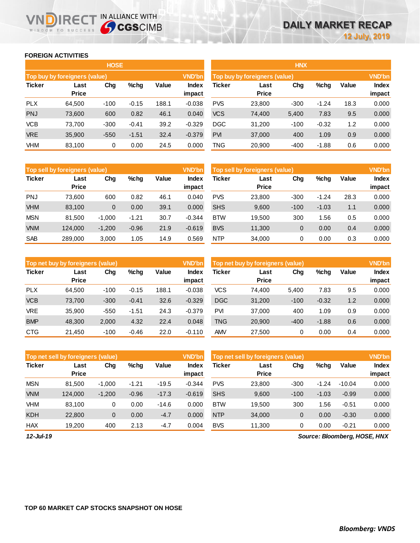### **FOREIGN ACTIVITIES**

WISDOM TO SUCCESS

JD

**IRECT IN ALLIANCE WITH** 

|               |                                                 | <b>HOSE</b> |         |       |               | <b>HNX</b>                    |        |                        |         |      |       |  |
|---------------|-------------------------------------------------|-------------|---------|-------|---------------|-------------------------------|--------|------------------------|---------|------|-------|--|
|               | Top buy by foreigners (value)                   |             |         |       | <b>VND'bn</b> | Top buy by foreigners (value) |        | <b>VND'bn</b>          |         |      |       |  |
| <b>Ticker</b> | Value<br>Chg<br>$%$ chg<br>Last<br><b>Price</b> |             |         |       |               | <b>Ticker</b>                 | Value  | <b>Index</b><br>impact |         |      |       |  |
| <b>PLX</b>    | 64.500                                          | $-100$      | $-0.15$ | 188.1 | $-0.038$      | <b>PVS</b>                    | 23,800 | $-300$                 | $-1.24$ | 18.3 | 0.000 |  |
| <b>PNJ</b>    | 73,600                                          | 600         | 0.82    | 46.1  | 0.040         | <b>VCS</b>                    | 74,400 | 5,400                  | 7.83    | 9.5  | 0.000 |  |
| <b>VCB</b>    | 73.700                                          | $-300$      | $-0.41$ | 39.2  | $-0.329$      | <b>DGC</b>                    | 31,200 | $-100$                 | $-0.32$ | 1.2  | 0.000 |  |
| <b>VRE</b>    | 35,900                                          | $-550$      | $-1.51$ | 32.4  | $-0.379$      | <b>PVI</b>                    | 37,000 | 400                    | 1.09    | 0.9  | 0.000 |  |
| <b>VHM</b>    | 83,100                                          | 0           | 0.00    | 24.5  | 0.000         | <b>TNG</b>                    | 20,900 | $-400$                 | $-1.88$ | 0.6  | 0.000 |  |

|               | Top sell by foreigners (value) |          |         |       | <b>VND'bn</b>   | Top sell by foreigners (value) |                      |        |         |       |                        |
|---------------|--------------------------------|----------|---------|-------|-----------------|--------------------------------|----------------------|--------|---------|-------|------------------------|
| <b>Ticker</b> | Last<br><b>Price</b>           | Chg      | %chg    | Value | Index<br>impact | Ticker                         | Last<br><b>Price</b> | Chg    | %chg    | Value | <b>Index</b><br>impact |
| <b>PNJ</b>    | 73.600                         | 600      | 0.82    | 46.1  | 0.040           | <b>PVS</b>                     | 23,800               | $-300$ | $-1.24$ | 28.3  | 0.000                  |
| <b>VHM</b>    | 83,100                         | 0        | 0.00    | 39.1  | 0.000           | <b>SHS</b>                     | 9,600                | $-100$ | $-1.03$ | 1.1   | 0.000                  |
| <b>MSN</b>    | 81.500                         | $-1.000$ | $-1.21$ | 30.7  | $-0.344$        | <b>BTW</b>                     | 19.500               | 300    | 1.56    | 0.5   | 0.000                  |
| <b>VNM</b>    | 124,000                        | $-1,200$ | $-0.96$ | 21.9  | $-0.619$        | <b>BVS</b>                     | 11,300               | 0      | 0.00    | 0.4   | 0.000                  |
| <b>SAB</b>    | 289.000                        | 3,000    | 1.05    | 14.9  | 0.569           | <b>NTP</b>                     | 34,000               | 0      | 0.00    | 0.3   | 0.000                  |

|               | Top net buy by foreigners (value) |        |         |       | <b>VND'bn</b>   | Top net buy by foreigners (value) |                      |        |         |       |                        |
|---------------|-----------------------------------|--------|---------|-------|-----------------|-----------------------------------|----------------------|--------|---------|-------|------------------------|
| <b>Ticker</b> | Last<br><b>Price</b>              | Chg    | $%$ chg | Value | Index<br>impact | <b>Ticker</b>                     | Last<br><b>Price</b> | Chg    | %chg    | Value | <b>Index</b><br>impact |
| <b>PLX</b>    | 64.500                            | $-100$ | $-0.15$ | 188.1 | $-0.038$        | <b>VCS</b>                        | 74,400               | 5,400  | 7.83    | 9.5   | 0.000                  |
| <b>VCB</b>    | 73,700                            | $-300$ | $-0.41$ | 32.6  | $-0.329$        | <b>DGC</b>                        | 31,200               | $-100$ | $-0.32$ | 1.2   | 0.000                  |
| <b>VRE</b>    | 35,900                            | $-550$ | $-1.51$ | 24.3  | $-0.379$        | <b>PVI</b>                        | 37,000               | 400    | 1.09    | 0.9   | 0.000                  |
| <b>BMP</b>    | 48,300                            | 2,000  | 4.32    | 22.4  | 0.048           | <b>TNG</b>                        | 20,900               | $-400$ | $-1.88$ | 0.6   | 0.000                  |
| <b>CTG</b>    | 21,450                            | $-100$ | $-0.46$ | 22.0  | $-0.110$        | AMV                               | 27.500               | 0      | 0.00    | 0.4   | 0.000                  |

|               | Top net sell by foreigners (value) |          |         |         | <b>VND'bn</b>   | Top net sell by foreigners (value) | <b>VND'bn</b>        |        |         |          |                 |
|---------------|------------------------------------|----------|---------|---------|-----------------|------------------------------------|----------------------|--------|---------|----------|-----------------|
| <b>Ticker</b> | Last<br><b>Price</b>               | Chg      | $%$ chg | Value   | Index<br>impact | Ticker                             | Last<br><b>Price</b> | Chg    | %chg    | Value    | Index<br>impact |
| <b>MSN</b>    | 81.500                             | $-1.000$ | $-1.21$ | $-19.5$ | $-0.344$        | <b>PVS</b>                         | 23,800               | $-300$ | $-1.24$ | $-10.04$ | 0.000           |
| <b>VNM</b>    | 124.000                            | $-1,200$ | $-0.96$ | $-17.3$ | $-0.619$        | <b>SHS</b>                         | 9,600                | $-100$ | $-1.03$ | $-0.99$  | 0.000           |
| <b>VHM</b>    | 83.100                             | 0        | 0.00    | $-14.6$ | 0.000           | <b>BTW</b>                         | 19.500               | 300    | .56     | $-0.51$  | 0.000           |
| <b>KDH</b>    | 22,800                             | 0        | 0.00    | $-4.7$  | 0.000           | <b>NTP</b>                         | 34,000               | 0      | 0.00    | $-0.30$  | 0.000           |
| <b>HAX</b>    | 19.200                             | 400      | 2.13    | $-4.7$  | 0.004           | <b>BVS</b>                         | 11.300               | 0      | 0.00    | $-0.21$  | 0.000           |

*12-Jul-19*

*Source: Bloomberg, HOSE, HNX*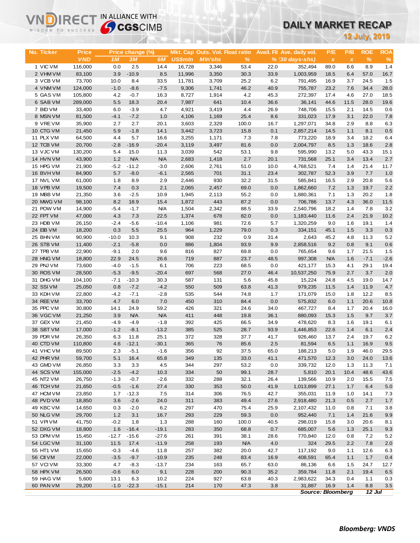## **DAILY MARKET RECAP**

| WISDOM TO SUCCESS      |                   | <b>Sy CGS</b> CIMB |                   |                  |                  | UAILT MARNET RECAP                     |                    |              |                             |                          |              |                      |                |
|------------------------|-------------------|--------------------|-------------------|------------------|------------------|----------------------------------------|--------------------|--------------|-----------------------------|--------------------------|--------------|----------------------|----------------|
|                        |                   |                    |                   |                  |                  |                                        |                    |              |                             |                          |              | <b>12 July, 2019</b> |                |
|                        |                   |                    |                   |                  |                  |                                        |                    |              |                             |                          |              |                      |                |
| No. Ticker             | Price             |                    | Price change (%)  |                  |                  | <b>Mkt. Cap Outs. Vol. Float ratio</b> |                    |              | Avail. Fil Ave. daily vol.  | P/E                      | P/B          | <b>ROE</b>           | <b>ROA</b>     |
| 1 VIC VM               | <b>VND</b>        | 1M                 | 3M                | 6M               | <b>US\$mln</b>   | <b>MIn'shs</b>                         | %                  |              | $% (30 \, days\text{-}shs)$ | $\pmb{\chi}$             | $\pmb{\chi}$ | $\frac{9}{6}$        | $\%$           |
| 2 VHM VM               | 116,000<br>83,100 | 0.0<br>3.9         | 2.5<br>$-10.9$    | 14.4<br>8.5      | 16,728<br>11,996 | 3,346<br>3,350                         | 53.4<br>30.3       | 22.0<br>33.9 | 352,494<br>1,003,959        | 89.0<br>18.5             | 6.6<br>6.4   | 8.9<br>57.0          | 1.4<br>16.7    |
| 3 VCB VM               | 73,700            | 10.0               | 8.4               | 33.5             | 11,781           | 3,709                                  | 25.2               | 6.2          | 791,495                     | 16.9                     | 3.7          | 24.5                 | 1.5            |
| 4 VNM VM               | 124,000           | $-1.0$             | $-8.6$            | $-7.5$           | 9,306            | 1,741                                  | 46.2               | 40.9         | 755,787                     | 23.2                     | 7.6          | 34.4                 | 28.0           |
| 5 GAS VM               | 105,800           | 4.2                | $-0.7$            | 16.3             | 8,727            | 1,914                                  | 4.2                | 45.3         | 272,397                     | 17.4                     | 4.6          | 27.0                 | 18.5           |
| 6 SAB VM               | 289,000           | 5.5                | 18.3              | 20.4             | 7,987            | 641                                    | 10.4               | 36.6         | 36,141                      | 44.6                     | 11.5         | 28.0                 | 19.6           |
| 7 BID VM               | 33,400            | 6.0                | $-3.9$            | 4.7              | 4,921            | 3,419                                  | 4.4                | 26.9         | 748,706                     | 15.5                     | 2.1          | 14.5                 | 0.6            |
| 8 MSN VM               | 81,500            | $-4.1$             | $-7.2$            | 1.0              | 4,106            | 1,169                                  | 25.4               | 8.6          | 331,023                     | 17.9                     | 3.1          | 22.0                 | 7.8            |
| 9 VREVM                | 35,900            | 2.7                | 2.7               | 20.1             | 3,603            | 2,329                                  | 100.0              | 16.7         | 1,297,071                   | 34.8                     | 2.9          | 8.8                  | 6.3            |
| 10 CTG VM              | 21,450            | 5.9                | $-1.8$            | 14.1             | 3,442            | 3,723                                  | 15.8               | 0.1          | 2,857,214                   | 14.5                     | 1.1          | 8.1                  | 0.5            |
| 11 PLX VM              | 64,500            | 4.4                | 5.7               | 16.6             | 3,255            | 1,171                                  | 7.3                | 7.8          | 773,220                     | 18.9                     | 3.4          | 18.2                 | 6.4            |
| 12 TCB VM              | 20,700            | $-2.8$             | $-16.9$           | $-20.4$          | 3,119            | 3,497                                  | 81.6               | 0.0          | 2,004,797                   | 8.5                      | 1.3          | 18.6                 | 2.8            |
| 13 VJC VM              | 130,200           | 5.4                | 15.0              | 11.3             | 3,039            | 542                                    | 53.1               | 9.8          | 595,990                     | 13.2                     | 5.0          | 43.3                 | 15.1           |
| 14 HVN VM              | 43,900            | 1.2                | <b>N/A</b>        | <b>N/A</b>       | 2,683            | 1,418                                  | 2.7                | 20.1         | 731,568                     | 25.1                     | 3.4          | 13.4                 | 2.7            |
| 15 HPG VM<br>16 BVHVM  | 21,900<br>84,900  | $-5.2$<br>5.7      | $-11.2$<br>$-8.0$ | $-3.0$<br>$-6.1$ | 2,606<br>2,565   | 2,761<br>701                           | 51.0<br>31.1       | 10.0<br>23.4 | 4,768,521<br>302,787        | 7.4<br>52.3              | 1.4<br>3.9   | 21.4<br>7.7          | 11.7<br>1.0    |
| 17 NVL VM              | 61,000            | 1.8                | 8.9               | 2.9              | 2,446            | 930                                    | 32.2               | 31.5         | 585,841                     | 16.5                     | 2.9          | 20.8                 | 5.6            |
| 18 VPB VM              | 19,500            | 7.4                | 0.3               | 2.1              | 2,065            | 2,457                                  | 69.0               | 0.0          | 1,862,660                   | 7.2                      | 1.3          | 19.7                 | 2.2            |
| 19 MBB VM              | 21,350            | 3.6                | $-2.5$            | 10.9             | 1,945            | 2,113                                  | 55.2               | 0.0          | 1,880,361                   | 7.1                      | 1.3          | 20.2                 | 1.8            |
| 20 MWG VM              | 98,100            | 8.2                | 18.9              | 15.4             | 1,872            | 443                                    | 87.2               | 0.0          | 706,786                     | 13.7                     | 4.3          | 36.0                 | 11.5           |
| 21 POW VM              | 14,900            | $-5.4$             | $-1.7$            | <b>N/A</b>       | 1,504            | 2,342                                  | 88.5               | 33.9         | 2,540,796                   | 18.2                     | 1.4          | 7.8                  | 3.2            |
| 22 FPT VM              | 47,000            | 4.3                | 7.3               | 22.5             | 1,374            | 678                                    | 82.0               | 0.0          | 1,183,440                   | 11.6                     | 2.4          | 21.9                 | 10.2           |
| 23 HDB VM              | 26,150            | $-2.4$             | $-5.6$            | $-10.4$          | 1,106            | 981                                    | 72.6               | 5.7          | 1,320,259                   | 9.0                      | 1.6          | 19.1                 | 1.4            |
| 24 EIB VM              | 18,200            | 0.3                | 5.5               | 25.5             | 964              | 1,229                                  | 79.0               | 0.3          | 334,151                     | 45.1                     | 1.5          | 3.3                  | 0.3            |
| 25 BHN VM              | 90,900            | $-10.0$            | 10.3              | 9.1              | 908              | 232                                    | 0.9                | 31.4         | 2,643                       | 45.2                     | 4.8          | 11.3                 | 5.2            |
| 26 STB VM              | 11,400            | $-2.1$             | $-5.8$            | 0.0              | 886              | 1,804                                  | 93.9               | 9.9          | 2,858,516                   | 9.2                      | 0.8          | 9.1                  | 0.6            |
| 27 TPB VM              | 22,900            | $-9.1$             | 2.0               | 9.6              | 816              | 827                                    | 69.8               | 0.0          | 765,654                     | 9.6                      | 1.7          | 21.5                 | 1.5            |
| 28 HNG VM<br>29 PNJ VM | 18,800<br>73,600  | 22.9<br>$-4.0$     | 24.5<br>$-1.5$    | 26.6<br>6.1      | 719<br>706       | 887<br>223                             | 23.7<br>68.5       | 48.5<br>0.0  | 997,308<br>421,177          | <b>N/A</b><br>15.3       | 1.6<br>4.1   | $-7.1$<br>29.1       | $-2.6$<br>19.4 |
| 30 ROS VM              | 28,500            | $-5.3$             | $-9.5$            | $-20.4$          | 697              | 568                                    | 27.0               | 46.4         | 10,537,250                  | 75.9                     | 2.7          | 3.7                  | 2.0            |
| 31 DHG VM              | 104,100           | $-7.1$             | $-10.3$           | 30.3             | 587              | 131                                    | 5.6                | 45.8         | 15,224                      | 24.8                     | 4.5          | 19.0                 | 14.7           |
| 32 SSIVM               | 25,050            | 0.8                | $-7.2$            | $-4.2$           | 550              | 509                                    | 63.8               | 41.3         | 979,235                     | 11.5                     | 1.4          | 11.9                 | 4.7            |
| 33 KDH VM              | 22,800            | $-4.2$             | $-7.1$            | $-2.8$           | 535              | 544                                    | 74.8               | 1.7          | 171,079                     | 15.0                     | 1.8          | 12.2                 | 8.5            |
| 34 REE VM              | 33,700            | 4.7                | 6.0               | 7.0              | 450              | 310                                    | 84.4               | 0.0          | 575,832                     | 6.0                      | 1.1          | 20.6                 | 10.8           |
| 35 PPC VM              | 30,800            | 14.1               | 24.9              | 59.2             | 426              | 321                                    | 24.6               | 34.0         | 467,727                     | 8.4                      | 1.7          | 20.4                 | 16.0           |
| 36 VGC VM              | 21,250            | 3.9                | <b>N/A</b>        | <b>N/A</b>       | 411              | 448                                    | 19.8               | 36.1         | 880,093                     | 15.3                     | 1.5          | 9.7                  | 3.7            |
| 37 GEX VM              | 21,450            | $-4.9$             | $-4.9$            | $-1.8$           | 392              | 425                                    | 66.5               | 34.9         | 478,620                     | 8.3                      | 1.6          | 19.1                 | 6.1            |
| 38 SBT VM              | 17,000            | $-1.2$             | $-8.1$            | $-13.2$          | 385              | 525                                    | 28.7               | 93.9         | 1,446,853                   | 22.6                     | 1.4          | 6.1                  | 2.4            |
| 39 PDR VM              | 26,350            | 6.3                | 11.8              | 25.1             | 372              | 328                                    | 37.7               | 41.7         | 926,460                     | 13.7                     | 2.4          | 19.7                 | 6.2            |
| 40 CTD VM              | 110,800           | 4.6                | $-12.1$           | $-30.1$          | 365              | 76                                     | 85.6               | 2.5          | 81,594                      | 6.5                      | 1.1          | 16.9                 | 9.5            |
| 41 VHC VM<br>42 PHR VM | 89,500<br>59,700  | 2.3<br>5.1         | $-5.1$<br>16.4    | $-1.6$<br>65.8   | 356<br>349       | 92<br>135                              | 37.5<br>33.0       | 65.0<br>41.1 | 188,213<br>471,570          | 5.0<br>12.3              | 1.9<br>3.0   | 46.0<br>24.0         | 29.5<br>13.6   |
| 43 GMD VM              | 26,850            | 3.3                | 3.3               | 4.5              | 344              | 297                                    | 53.2               | 0.0          | 339,732                     | 12.0                     | 1.3          | 11.3                 | 7.1            |
| 44 SCS VM              | 155,000           | $-2.5$             | $-4.2$            | 10.3             | 334              | 50                                     | 99.1               | 28.7         | 5,810                       | 20.1                     | 10.4         | 48.6                 | 43.6           |
| 45 NT2 VM              | 26,750            | $-1.3$             | $-0.7$            | $-2.6$           | 332              | 288                                    | 32.1               | 26.4         | 139,566                     | 10.9                     | 2.0          | 15.5                 | 7.5            |
| 46 TCH VM              | 21,650            | $-0.5$             | $-1.6$            | 27.4             | 330              | 353                                    | 50.0               | 41.9         | 1,013,899                   | 27.1                     | 1.7          | 6.4                  | 5.0            |
| 47 HCM VM              | 23,850            | 1.7                | $-12.3$           | 7.5              | 314              | 306                                    | 76.5               | 42.7         | 355,031                     | 11.9                     | 1.0          | 14.1                 | 7.3            |
| 48 PVD VM              | 18,850            | 3.6                | $-2.6$            | 24.0             | 311              | 383                                    | 49.4               | 27.6         | 2,918,480                   | 21.3                     | 0.5          | 2.7                  | 1.7            |
| 49 KBC VM              | 14,650            | 0.3                | $-2.0$            | 6.2              | 297              | 470                                    | 75.4               | 25.9         | 2,107,432                   | 11.0                     | 0.8          | 7.1                  | 3.8            |
| 50 NLG VM              | 29,700            | $1.2$              | 3.1               | 16.7             | 293              | 229                                    | 59.3               | 0.0          | 952,440                     | 7.1                      | 1.4          | 21.6                 | 9.9            |
| 51 VPIVM               | 41,750            | $-0.2$             | 1.8               | 1.3              | 288              | 160                                    | 100.0              | 40.5         | 298,019                     | 15.8                     | 3.0          | 20.6                 | 8.1            |
| 52 DXG VM              | 18,800            | 1.6                | $-16.4$           | $-19.1$          | 283              | 350                                    | 68.8               | 0.7          | 685,007                     | 5.6                      | 1.3          | 25.1                 | 9.3            |
| 53 DPM VM              | 15,450            | $-12.7$            | $-15.6$           | $-27.6$          | 261              | 391                                    | 38.1               | 28.6         | 770,840                     | 12.0                     | 0.8          | 7.2                  | $5.2\,$        |
| 54 LGC VM<br>55 HT1 VM | 31,100<br>15,650  | 11.5<br>$-0.3$     | 17.4              | $-11.9$<br>11.8  | 258<br>257       | 193<br>382                             | <b>N/A</b><br>20.0 | 4.0<br>42.7  | 324                         | 29.5                     | 2.2          | 7.8                  | 2.0            |
| 56 CII VM              | 22,000            | $-3.5$             | $-4.6$<br>$-9.7$  | $-10.9$          | 235              | 248                                    | 83.4               | 16.9         | 117,192<br>408,591          | 9.0<br>65.4              | 1.1<br>1.1   | 12.6<br>1.7          | 6.3<br>0.4     |
| 57 VCIVM               | 33,300            | 4.7                | $-8.3$            | $-13.7$          | 234              | 163                                    | 65.7               | 63.0         | 86,136                      | 6.6                      | $1.5$        | 24.7                 | 12.7           |
| 58 HPX VM              | 26,500            | $-0.6$             | 6.0               | 9.1              | 228              | 200                                    | 90.3               | 35.2         | 359,784                     | 11.8                     | 2.1          | 19.4                 | 6.5            |
| 59 HAG VM              | 5,600             | 13.1               | 6.3               | 10.2             | 224              | 927                                    | 63.8               | 40.3         | 2,983,622                   | 34.3                     | 0.4          | 1.1                  | 0.3            |
| 60 PAN VM              | 29,200            | $-1.0$             | $-22.3$           | $-15.1$          | 214              | 170                                    | 47.3               | 3.8          | 31,887                      | 16.9                     | 1.4          | 8.8                  | $3.5\,$        |
|                        |                   |                    |                   |                  |                  |                                        |                    |              |                             | <b>Source: Bloomberg</b> |              | 12 Jul               |                |

**VNDIRECT IN ALLIANCE WITH**